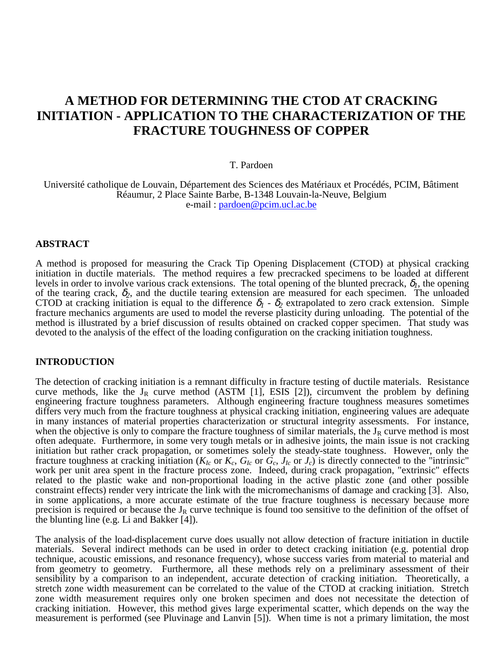# **A METHOD FOR DETERMINING THE CTOD AT CRACKING INITIATION - APPLICATION TO THE CHARACTERIZATION OF THE FRACTURE TOUGHNESS OF COPPER**

#### T. Pardoen

Université catholique de Louvain, Département des Sciences des Matériaux et Procédés, PCIM, Bâtiment Réaumur, 2 Place Sainte Barbe, B-1348 Louvain-la-Neuve, Belgium e-mail : pardoen@pcim.ucl.ac.be

# **ABSTRACT**

A method is proposed for measuring the Crack Tip Opening Displacement (CTOD) at physical cracking initiation in ductile materials. The method requires a few precracked specimens to be loaded at different levels in order to involve various crack extensions. The total opening of the blunted precrack,  $\delta_l$ , the opening of the tearing crack,  $\delta_2$ , and the ductile tearing extension are measured for each specimen. The unloaded CTOD at cracking initiation is equal to the difference  $\delta_1$  -  $\delta_2$  extrapolated to zero crack extension. Simple fracture mechanics arguments are used to model the reverse plasticity during unloading. The potential of the method is illustrated by a brief discussion of results obtained on cracked copper specimen. That study was devoted to the analysis of the effect of the loading configuration on the cracking initiation toughness.

#### **INTRODUCTION**

The detection of cracking initiation is a remnant difficulty in fracture testing of ductile materials. Resistance curve methods, like the  $J_R$  curve method (ASTM [1], ESIS [2]), circumvent the problem by defining engineering fracture toughness parameters. Although engineering fracture toughness measures sometimes differs very much from the fracture toughness at physical cracking initiation, engineering values are adequate in many instances of material properties characterization or structural integrity assessments. For instance, when the objective is only to compare the fracture toughness of similar materials, the  $J_R$  curve method is most often adequate. Furthermore, in some very tough metals or in adhesive joints, the main issue is not cracking initiation but rather crack propagation, or sometimes solely the steady-state toughness. However, only the fracture toughness at cracking initiation ( $K_{Ic}$  or  $K_c$ ,  $G_{Ic}$  or  $\tilde{G_c}$ ,  $J_{Ic}$  or  $J_c$ ) is directly connected to the "intrinsic" work per unit area spent in the fracture process zone. Indeed, during crack propagation, "extrinsic" effects related to the plastic wake and non-proportional loading in the active plastic zone (and other possible constraint effects) render very intricate the link with the micromechanisms of damage and cracking [3]. Also, in some applications, a more accurate estimate of the true fracture toughness is necessary because more precision is required or because the  $J_R$  curve technique is found too sensitive to the definition of the offset of the blunting line (e.g. Li and Bakker [4]).

The analysis of the load-displacement curve does usually not allow detection of fracture initiation in ductile materials. Several indirect methods can be used in order to detect cracking initiation (e.g. potential drop technique, acoustic emissions, and resonance frequency), whose success varies from material to material and from geometry to geometry. Furthermore, all these methods rely on a preliminary assessment of their sensibility by a comparison to an independent, accurate detection of cracking initiation. Theoretically, a stretch zone width measurement can be correlated to the value of the CTOD at cracking initiation. Stretch zone width measurement requires only one broken specimen and does not necessitate the detection of cracking initiation. However, this method gives large experimental scatter, which depends on the way the measurement is performed (see Pluvinage and Lanvin [5]). When time is not a primary limitation, the most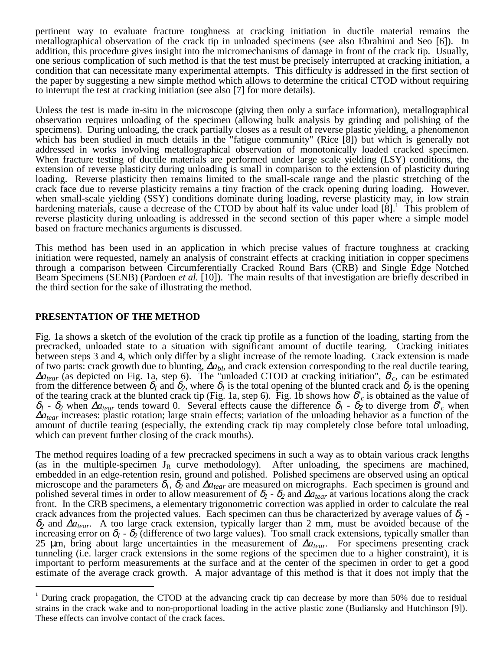pertinent way to evaluate fracture toughness at cracking initiation in ductile material remains the metallographical observation of the crack tip in unloaded specimens (see also Ebrahimi and Seo [6]). In addition, this procedure gives insight into the micromechanisms of damage in front of the crack tip. Usually, one serious complication of such method is that the test must be precisely interrupted at cracking initiation, a condition that can necessitate many experimental attempts. This difficulty is addressed in the first section of the paper by suggesting a new simple method which allows to determine the critical CTOD without requiring to interrupt the test at cracking initiation (see also [7] for more details).

Unless the test is made in-situ in the microscope (giving then only a surface information), metallographical observation requires unloading of the specimen (allowing bulk analysis by grinding and polishing of the specimens). During unloading, the crack partially closes as a result of reverse plastic yielding, a phenomenon which has been studied in much details in the "fatigue community" (Rice [8]) but which is generally not addressed in works involving metallographical observation of monotonically loaded cracked specimen. When fracture testing of ductile materials are performed under large scale yielding (LSY) conditions, the extension of reverse plasticity during unloading is small in comparison to the extension of plasticity during loading. Reverse plasticity then remains limited to the small-scale range and the plastic stretching of the crack face due to reverse plasticity remains a tiny fraction of the crack opening during loading. However, when small-scale yielding (SSY) conditions dominate during loading, reverse plasticity may, in low strain hardening materials, cause a decrease of the CTOD by about half its value under load  $\left[8\right]$ . This problem of reverse plasticity during unloading is addressed in the second section of this paper where a simple model based on fracture mechanics arguments is discussed.

This method has been used in an application in which precise values of fracture toughness at cracking initiation were requested, namely an analysis of constraint effects at cracking initiation in copper specimens through a comparison between Circumferentially Cracked Round Bars (CRB) and Single Edge Notched Beam Specimens (SENB) (Pardoen *et al.* [10]). The main results of that investigation are briefly described in the third section for the sake of illustrating the method.

# **PRESENTATION OF THE METHOD**

Fig. 1a shows a sketch of the evolution of the crack tip profile as a function of the loading, starting from the precracked, unloaded state to a situation with significant amount of ductile tearing. Cracking initiates between steps 3 and 4, which only differ by a slight increase of the remote loading. Crack extension is made of two parts: crack growth due to blunting, ∆a<sub>bl</sub>, and crack extension corresponding to the real ductile tearing, <sup>∆</sup>*atear* (as depicted on Fig. 1a, step 6). The "unloaded CTOD at cracking initiation", δ*\* <sup>c</sup>*, can be estimated from the difference between  $\delta_l$  and  $\delta_2$ , where  $\delta_l$  is the total opening of the blunted crack and  $\delta_2$  is the opening of the tearing crack at the blunted crack tip (Fig. 1a, step 6). Fig. 1b shows how δ*\* <sup>c</sup>* is obtained as the value of  $\delta_1$  -  $\delta_2$  when  $\Delta a_{tear}$  tends toward 0. Several effects cause the difference  $\delta_1$  -  $\delta_2$  to diverge from  $\delta^*$ <sub>c</sub> when <sup>∆</sup>*atear* increases: plastic rotation; large strain effects; variation of the unloading behavior as a function of the amount of ductile tearing (especially, the extending crack tip may completely close before total unloading, which can prevent further closing of the crack mouths).

The method requires loading of a few precracked specimens in such a way as to obtain various crack lengths (as in the multiple-specimen  $J_R$  curve methodology). After unloading, the specimens are machined, embedded in an edge-retention resin, ground and polished. Polished specimens are observed using an optical microscope and the parameters  $\delta_l$ ,  $\delta_2$  and  $\Delta a_{tear}$  are measured on micrographs. Each specimen is ground and polished several times in order to allow measurement of  $\delta_1$  -  $\delta_2$  and  $\Delta a_{tear}$  at various locations along the crack front. In the CRB specimens, a elementary trigonometric correction was applied in order to calculate the real crack advances from the projected values. Each specimen can thus be characterized by average values of  $\delta_l$  <sup>δ</sup>*2* and ∆*atear*. A too large crack extension, typically larger than 2 mm, must be avoided because of the increasing error on  $\delta_1$  -  $\delta_2$  (difference of two large values). Too small crack extensions, typically smaller than 25 µm, bring about large uncertainties in the measurement of ∆*atear*. For specimens presenting crack tunneling (i.e. larger crack extensions in the some regions of the specimen due to a higher constraint), it is important to perform measurements at the surface and at the center of the specimen in order to get a good estimate of the average crack growth. A major advantage of this method is that it does not imply that the

 $\frac{1}{1}$ During crack propagation, the CTOD at the advancing crack tip can decrease by more than 50% due to residual strains in the crack wake and to non-proportional loading in the active plastic zone (Budiansky and Hutchinson [9]). These effects can involve contact of the crack faces.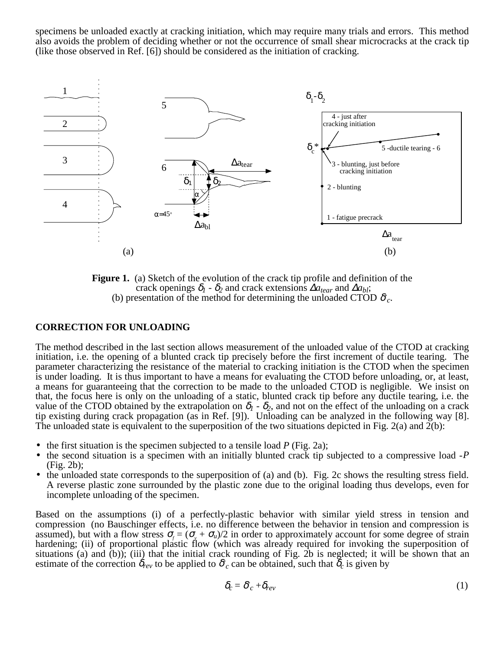specimens be unloaded exactly at cracking initiation, which may require many trials and errors. This method also avoids the problem of deciding whether or not the occurrence of small shear microcracks at the crack tip (like those observed in Ref. [6]) should be considered as the initiation of cracking.



**Figure 1.** (a) Sketch of the evolution of the crack tip profile and definition of the crack openings  $\delta_l$  -  $\delta_2$  and crack extensions  $\Delta a_{tear}$  and  $\Delta a_{bl}$ ; (b) presentation of the method for determining the unloaded CTOD  $\delta_c$ .

## **CORRECTION FOR UNLOADING**

The method described in the last section allows measurement of the unloaded value of the CTOD at cracking initiation, i.e. the opening of a blunted crack tip precisely before the first increment of ductile tearing. The parameter characterizing the resistance of the material to cracking initiation is the CTOD when the specimen is under loading. It is thus important to have a means for evaluating the CTOD before unloading, or, at least, a means for guaranteeing that the correction to be made to the unloaded CTOD is negligible. We insist on that, the focus here is only on the unloading of a static, blunted crack tip before any ductile tearing, i.e. the value of the CTOD obtained by the extrapolation on  $\delta_1$  -  $\delta_2$ , and not on the effect of the unloading on a crack tip existing during crack propagation (as in Ref. [9]). Unloading can be analyzed in the following way [8]. The unloaded state is equivalent to the superposition of the two situations depicted in Fig. 2(a) and  $\overline{2}(b)$ :

- 
- the first situation is the specimen subjected to a tensile load *P* (Fig. 2a); the second situation is a specimen with an initially blunted crack tip subjected to a compressive load -*<sup>P</sup>* (Fig. 2b);
- the unloaded state corresponds to the superposition of (a) and (b). Fig. 2c shows the resulting stress field. A reverse plastic zone surrounded by the plastic zone due to the original loading thus develops, even for incomplete unloading of the specimen.

Based on the assumptions (i) of a perfectly-plastic behavior with similar yield stress in tension and compression (no Bauschinger effects, i.e. no difference between the behavior in tension and compression is assumed), but with a flow stress  $\sigma_f = (\sigma_y + \sigma_u)/2$  in order to approximately account for some degree of strain hardening; (ii) of proportional plastic flow (which was already required for invoking the superposition of situations (a) and (b)); (iii) that the initial crack rounding of Fig. 2b is neglected; it will be shown that an estimate of the correction  $\delta_{rev}$  to be applied to  $\delta_c^c$  can be obtained, such that  $\delta_c$  is given by

$$
\delta_c = \delta_c^* + \delta_{rev} \tag{1}
$$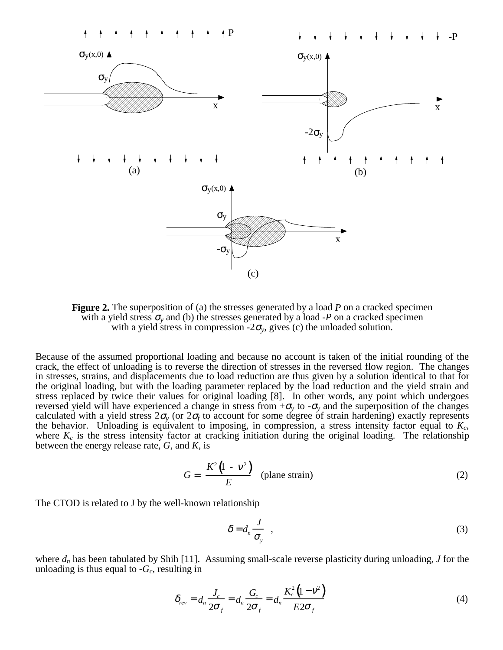

**Figure 2.** The superposition of (a) the stresses generated by a load *P* on a cracked specimen with a yield stress  $\sigma$ <sub>v</sub> and (b) the stresses generated by a load -*P* on a cracked specimen with a yield stress in compression  $-2\sigma_v$ , gives (c) the unloaded solution.

Because of the assumed proportional loading and because no account is taken of the initial rounding of the crack, the effect of unloading is to reverse the direction of stresses in the reversed flow region. The changes in stresses, strains, and displacements due to load reduction are thus given by a solution identical to that for the original loading, but with the loading parameter replaced by the load reduction and the yield strain and stress replaced by twice their values for original loading [8]. In other words, any point which undergoes reversed yield will have experienced a change in stress from  $+\sigma_v$  to  $-\sigma_v$  and the superposition of the changes calculated with a yield stress  $2\sigma_y$  (or  $2\sigma_f$  to account for some degree of strain hardening) exactly represents the behavior. Unloading is equivalent to imposing, in compression, a stress intensity factor equal to  $K_c$ where  $K_c$  is the stress intensity factor at cracking initiation during the original loading. The relationship between the energy release rate, *G*, and *K*, is

$$
G = \frac{K^2 (1 - v^2)}{E}
$$
 (plane strain) (2)

The CTOD is related to J by the well-known relationship

$$
\delta = d_n \frac{J}{\sigma_y} \quad , \tag{3}
$$

where  $d_n$  has been tabulated by Shih [11]. Assuming small-scale reverse plasticity during unloading, *J* for the unloading is thus equal to  $-G_c$ , resulting in

$$
\delta_{rev} = d_n \frac{J_c}{2\sigma_f} = d_n \frac{G_c}{2\sigma_f} = d_n \frac{K_c^2 (1 - v^2)}{E 2\sigma_f}
$$
(4)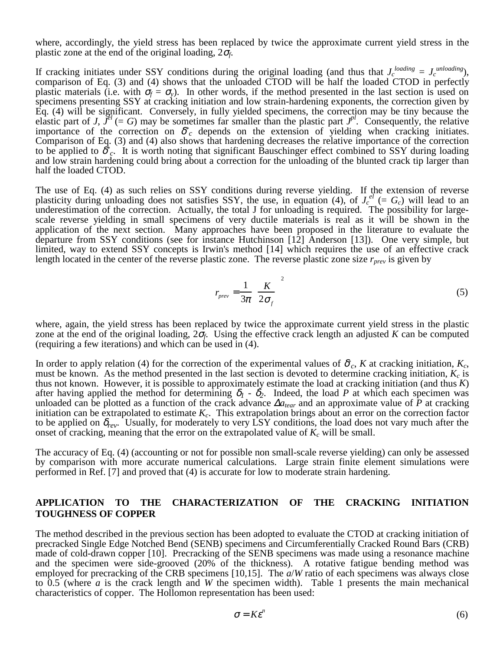where, accordingly, the yield stress has been replaced by twice the approximate current yield stress in the plastic zone at the end of the original loading, 2<sup>σ</sup>*f*.

If cracking initiates under SSY conditions during the original loading (and thus that  $J_c^{loading} = J_c^{unloading}$ ), comparison of Eq. (3) and (4) shows that the unloaded CTOD will be half the loaded CTOD in perfectly plastic materials (i.e. with  $\sigma_f = \sigma_v$ ). In other words, if the method presented in the last section is used on specimens presenting SSY at cracking initiation and low strain-hardening exponents, the correction given by Eq. (4) will be significant. Conversely, in fully yielded specimens, the correction may be tiny because the elastic part of *J*,  $\ddot{J}^{el}$  (= *G*) may be sometimes far smaller than the plastic part  $J^{pl}$ . Consequently, the relative importance of the correction on  $\delta^*$ <sub>c</sub> depends on the extension of yielding when cracking initiates. Comparison of Eq. (3) and (4) also shows that hardening decreases the relative importance of the correction to be applied to δ*\* <sup>c</sup>*. It is worth noting that significant Bauschinger effect combined to SSY during loading and low strain hardening could bring about a correction for the unloading of the blunted crack tip larger than half the loaded CTOD.

The use of Eq. (4) as such relies on SSY conditions during reverse yielding. If the extension of reverse plasticity during unloading does not satisfies SSY, the use, in equation (4), of  $J_c^{el}$  (=  $G_c$ ) will lead to an underestimation of the correction. Actually, the total J for unloading is required. The possibility for largescale reverse yielding in small specimens of very ductile materials is real as it will be shown in the application of the next section. Many approaches have been proposed in the literature to evaluate the departure from SSY conditions (see for instance Hutchinson [12] Anderson [13]). One very simple, but limited, way to extend SSY concepts is Irwin's method [14] which requires the use of an effective crack length located in the center of the reverse plastic zone. The reverse plastic zone size  $r_{prev}$  is given by

$$
r_{prev} = \frac{1}{3\pi} \left(\frac{K}{2\sigma_f}\right)^2\tag{5}
$$

where, again, the yield stress has been replaced by twice the approximate current yield stress in the plastic zone at the end of the original loading,  $2\sigma_f$ . Using the effective crack length an adjusted *K* can be computed (requiring a few iterations) and which can be used in (4).

In order to apply relation (4) for the correction of the experimental values of  $\delta_c$ , *K* at cracking initiation,  $K_c$ , must be known. As the method presented in the last section is devoted to determine cracking initiation,  $K_c$  is thus not known. However, it is possible to approximately estimate the load at cracking initiation (and thus *K*) after having applied the method for determining  $\delta_1$  -  $\delta_2$ . Indeed, the load *P* at which each specimen was unloaded can be plotted as a function of the crack advance ∆*atear* and an approximate value of *P* at cracking initiation can be extrapolated to estimate  $K_c$ . This extrapolation brings about an error on the correction factor to be applied on δ*rev*. Usually, for moderately to very LSY conditions, the load does not vary much after the onset of cracking, meaning that the error on the extrapolated value of  $K_c$  will be small.

The accuracy of Eq. (4) (accounting or not for possible non small-scale reverse yielding) can only be assessed by comparison with more accurate numerical calculations. Large strain finite element simulations were performed in Ref. [7] and proved that (4) is accurate for low to moderate strain hardening.

# **APPLICATION TO THE CHARACTERIZATION OF THE CRACKING INITIATION TOUGHNESS OF COPPER**

The method described in the previous section has been adopted to evaluate the CTOD at cracking initiation of precracked Single Edge Notched Bend (SENB) specimens and Circumferentially Cracked Round Bars (CRB) made of cold-drawn copper [10]. Precracking of the SENB specimens was made using a resonance machine and the specimen were side-grooved (20% of the thickness). A rotative fatigue bending method was employed for precracking of the CRB specimens [10,15]. The *a*/*W* ratio of each specimens was always close to 0.5 (where *a* is the crack length and *W* the specimen width). Table 1 presents the main mechanical characteristics of copper. The Hollomon representation has been used:

$$
\sigma = K \varepsilon^n \tag{6}
$$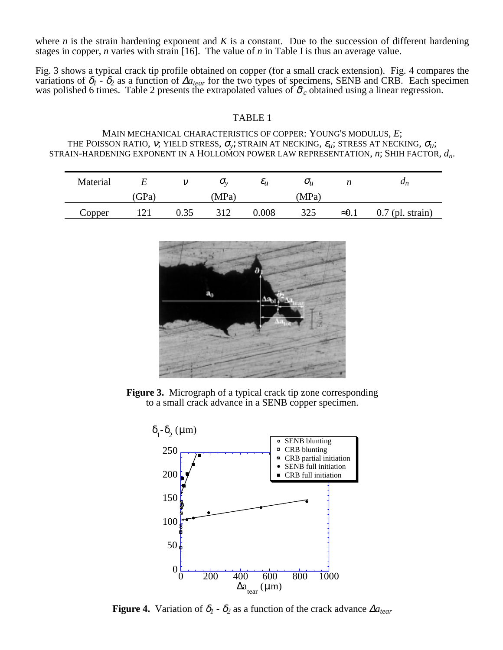where  $n$  is the strain hardening exponent and  $K$  is a constant. Due to the succession of different hardening stages in copper, *n* varies with strain [16]. The value of *n* in Table I is thus an average value.

Fig. 3 shows a typical crack tip profile obtained on copper (for a small crack extension). Fig. 4 compares the variations of δ*1* - δ*2* as a function of ∆*atear* for the two types of specimens, SENB and CRB. Each specimen was polished 6 times. Table 2 presents the extrapolated values of δ*\* <sup>c</sup>* obtained using a linear regression.

## TABLE 1

MAIN MECHANICAL CHARACTERISTICS OF COPPER: YOUNG'S MODULUS, *E*; THE POISSON RATIO, *v*; YIELD STRESS,  $\sigma_{v}$ ; STRAIN AT NECKING,  $\varepsilon_{u}$ ; STRESS AT NECKING,  $\sigma_{u}$ ; STRAIN-HARDENING EXPONENT IN A HOLLOMON POWER LAW REPRESENTATION, *n*; SHIH FACTOR, *dn*.

| Material |     |      | U.,   | $\varepsilon_{u}$ | $O_{\mathcal{U}}$ |               | $\boldsymbol{\mathfrak{a}}_n$ |
|----------|-----|------|-------|-------------------|-------------------|---------------|-------------------------------|
|          | GPa |      | (MPa) |                   | (MPa)             |               |                               |
| Copper   | 121 | 0.35 | 312   | 0.008             | 325               | $\approx 0.1$ | $0.7$ (pl. strain)            |



**Figure 3.** Micrograph of a typical crack tip zone corresponding to a small crack advance in a SENB copper specimen.



**Figure 4.** Variation of  $\delta_1$  -  $\delta_2$  as a function of the crack advance  $\Delta a_{tear}$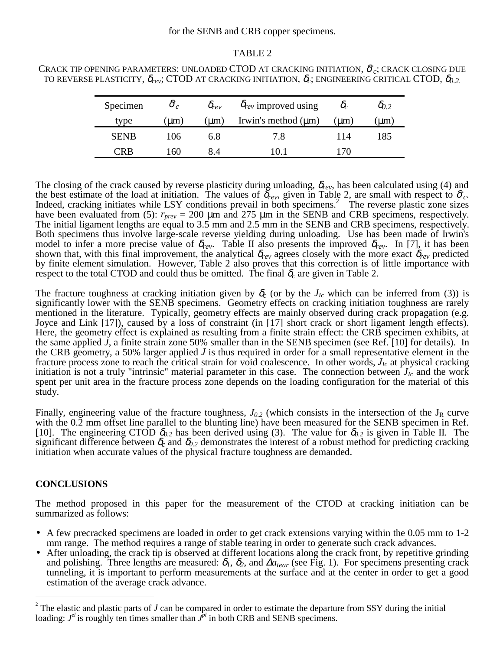### for the SENB and CRB copper specimens.

#### TABLE 2

| CRACK TIP OPENING PARAMETERS: UNLOADED CTOD AT CRACKING INITIATION, $\delta_c$ ; CRACK CLOSING DUE                          |  |
|-----------------------------------------------------------------------------------------------------------------------------|--|
| TO REVERSE PLASTICITY, $\delta_{rev}$ ; CTOD AT CRACKING INITIATION, $\delta_c$ ; ENGINEERING CRITICAL CTOD, $\delta_{0.2}$ |  |

| Specimen    | $\delta_c$ | $\delta_{rev}$ | $\delta_{rev}$ improved using | $\mathcal{O}_C$ | 00.2     |
|-------------|------------|----------------|-------------------------------|-----------------|----------|
| type        | $(\mu m)$  | (um)           | Irwin's method $(\mu m)$      | $\mu$ m)        | $\mu$ m) |
| <b>SENB</b> | 106        | 6.8            | 7.8                           | 114             | 185      |
| ™R          | 160        | 8.4            | 0.                            | 70              |          |

The closing of the crack caused by reverse plasticity during unloading,  $\delta_{rev}$ , has been calculated using (4) and the best estimate of the load at initiation. The values of  $\delta_{rev}$ , given in Table 2, are small with respect to  $\delta_c$ .<br>Indeed, cracking initiates while LSY conditions prevail in both specimens.<sup>2</sup> The reverse plastic zone have been evaluated from (5):  $r_{prev} = 200 \mu m$  and 275  $\mu m$  in the SENB and CRB specimens, respectively. The initial ligament lengths are equal to 3.5 mm and 2.5 mm in the SENB and CRB specimens, respectively. Both specimens thus involve large-scale reverse yielding during unloading. Use has been made of Irwin's model to infer a more precise value of  $\delta_{rev}$ . Table II also presents the improved  $\delta_{rev}$ . In [7], it has been shown that, with this final improvement, the analytical  $\delta_{rev}$  agrees closely with the more exact  $\delta_{rev}$  predicted by finite element simulation. However, Table 2 also proves that this correction is of little importance with respect to the total CTOD and could thus be omitted. The final  $\delta_c$  are given in Table 2.

The fracture toughness at cracking initiation given by  $\delta_c$  (or by the  $J_{Ic}$  which can be inferred from (3)) is significantly lower with the SENB specimens. Geometry effects on cracking initiation toughness are rarely mentioned in the literature. Typically, geometry effects are mainly observed during crack propagation (e.g. Joyce and Link [17]), caused by a loss of constraint (in [17] short crack or short ligament length effects). Here, the geometry effect is explained as resulting from a finite strain effect: the CRB specimen exhibits, at the same applied *J*, a finite strain zone 50% smaller than in the SENB specimen (see Ref. [10] for details). In the CRB geometry, a 50% larger applied *J* is thus required in order for a small representative element in the fracture process zone to reach the critical strain for void coalescence. In other words, *JIc* at physical cracking initiation is not a truly "intrinsic" material parameter in this case. The connection between  $J_{Ic}$  and the work spent per unit area in the fracture process zone depends on the loading configuration for the material of this study.

Finally, engineering value of the fracture toughness,  $J_{0.2}$  (which consists in the intersection of the  $J_R$  curve with the 0.2 mm offset line parallel to the blunting line) have been measured for the SENB specimen in Ref. [10]. The engineering CTOD  $\delta_{0.2}$  has been derived using (3). The value for  $\delta_{0.2}$  is given in Table II. The significant difference between  $\delta_c$  and  $\delta_{0.2}$  demonstrates the interest of a robust method for predicting cracking initiation when accurate values of the physical fracture toughness are demanded.

## **CONCLUSIONS**

The method proposed in this paper for the measurement of the CTOD at cracking initiation can be summarized as follows:

- A few precracked specimens are loaded in order to get crack extensions varying within the 0.05 mm to 1-2 mm range. The method requires a range of stable tearing in order to generate such crack advances.
- After unloading, the crack tip is observed at different locations along the crack front, by repetitive grinding and polishing. Three lengths are measured:  $\delta_l$ ,  $\delta_2$ , and  $\Delta a_{tear}$  (see Fig. 1). For specimens presenting crack tunneling, it is important to perform measurements at the surface and at the center in order to get a good estimation of the average crack advance.

 $\frac{1}{2}$ <sup>2</sup> The elastic and plastic parts of  $J$  can be compared in order to estimate the departure from SSY during the initial loading:  $J^{el}$  is roughly ten times smaller than  $J^{pl}$  in both CRB and SENB specimens.